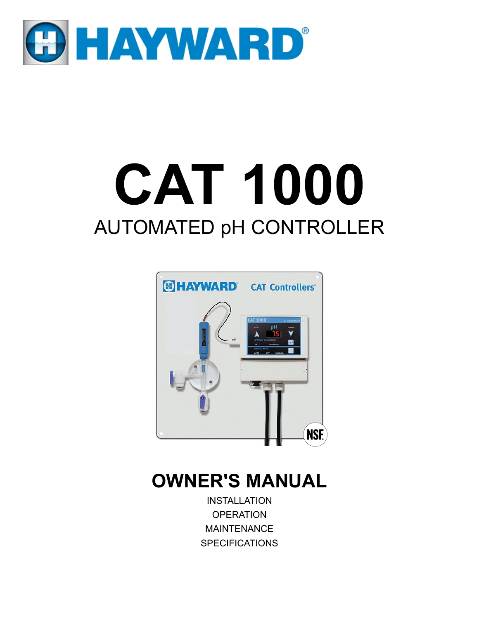

# **CAT 1000** AUTOMATED pH CONTROLLER



# **OWNER'S MANUAL**

INSTALLATION **OPERATION** MAINTENANCE **SPECIFICATIONS**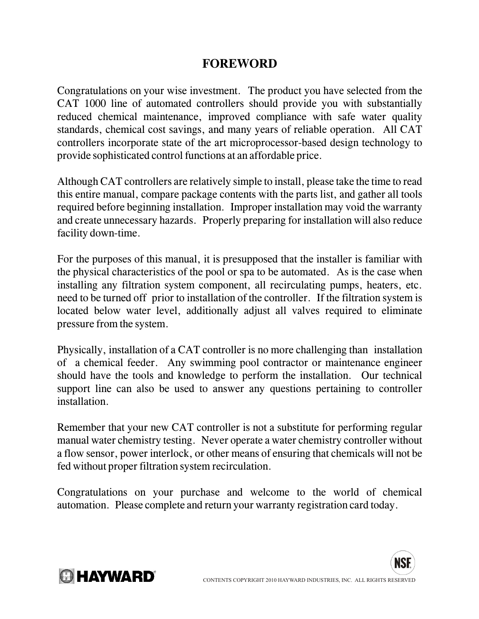### **FOREWORD**

Congratulations on your wise investment. The product you have selected from the CAT 1000 line of automated controllers should provide you with substantially reduced chemical maintenance, improved compliance with safe water quality standards, chemical cost savings, and many years of reliable operation. All CAT controllers incorporate state of the art microprocessor-based design technology to provide sophisticated control functions at an affordable price.

Although CAT controllers are relatively simple to install, please take the time to read this entire manual, compare package contents with the parts list, and gather all tools required before beginning installation. Improper installation may void the warranty and create unnecessary hazards. Properly preparing for installation will also reduce facility down-time.

For the purposes of this manual, it is presupposed that the installer is familiar with the physical characteristics of the pool or spa to be automated. As is the case when installing any filtration system component, all recirculating pumps, heaters, etc. need to be turned off prior to installation of the controller. If the filtration system is located below water level, additionally adjust all valves required to eliminate pressure from the system.

Physically, installation of a CAT controller is no more challenging than installation of a chemical feeder. Any swimming pool contractor or maintenance engineer should have the tools and knowledge to perform the installation. Our technical support line can also be used to answer any questions pertaining to controller installation.

Remember that your new CAT controller is not a substitute for performing regular manual water chemistry testing. Never operate a water chemistry controller without a flow sensor, power interlock, or other means of ensuring that chemicals will not be fed without proper filtration system recirculation.

Congratulations on your purchase and welcome to the world of chemical automation. Please complete and return your warranty registration card today.



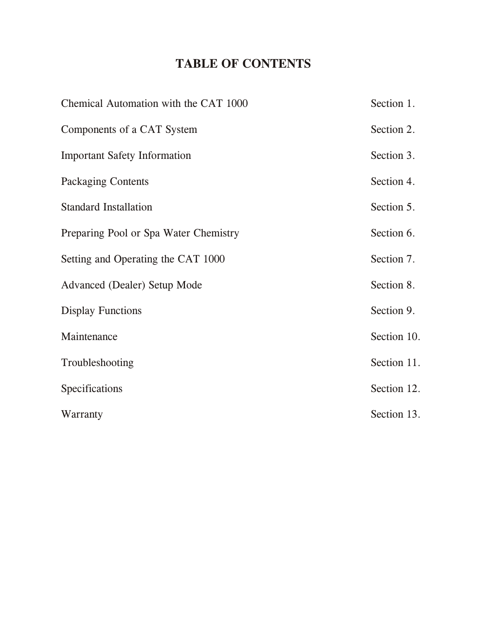# **TABLE OF CONTENTS**

| Chemical Automation with the CAT 1000 | Section 1.  |
|---------------------------------------|-------------|
| Components of a CAT System            | Section 2.  |
| <b>Important Safety Information</b>   | Section 3.  |
| <b>Packaging Contents</b>             | Section 4.  |
| <b>Standard Installation</b>          | Section 5.  |
| Preparing Pool or Spa Water Chemistry | Section 6.  |
| Setting and Operating the CAT 1000    | Section 7.  |
| <b>Advanced (Dealer) Setup Mode</b>   | Section 8.  |
| <b>Display Functions</b>              | Section 9.  |
| Maintenance                           | Section 10. |
| Troubleshooting                       | Section 11. |
| Specifications                        | Section 12. |
| Warranty                              | Section 13. |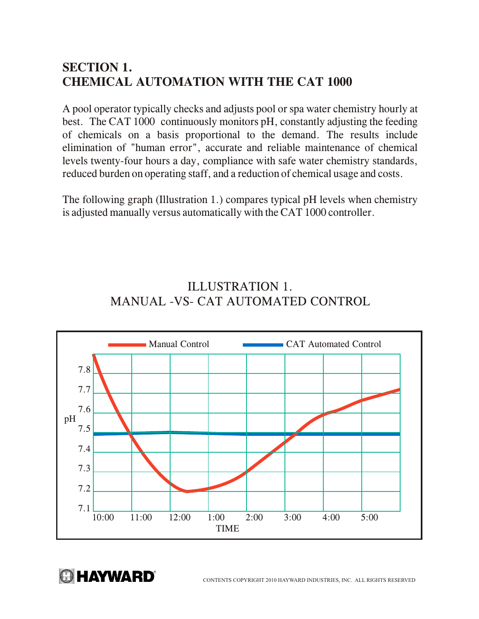# **SECTION 1. CHEMICAL AUTOMATION WITH THE CAT 1000**

A pool operator typically checks and adjusts pool or spa water chemistry hourly at best. The CAT 1000 continuously monitors pH, constantly adjusting the feeding of chemicals on a basis proportional to the demand. The results include elimination of "human error", accurate and reliable maintenance of chemical levels twenty-four hours a day, compliance with safe water chemistry standards, reduced burden on operating staff, and a reduction of chemical usage and costs.

The following graph (Illustration 1.) compares typical pH levels when chemistry is adjusted manually versus automatically with the CAT 1000 controller.

# ILLUSTRATION 1. MANUAL -VS- CAT AUTOMATED CONTROL



**A HAYWARD** 

CONTENTS COPYRIGHT 2010 HAYWARD INDUSTRIES, INC. ALL RIGHTS RESERVED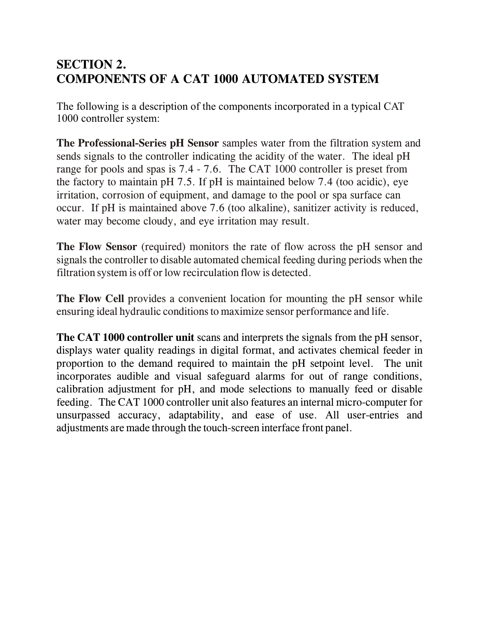# **SECTION 2. COMPONENTS OF A CAT 1000 AUTOMATED SYSTEM**

The following is a description of the components incorporated in a typical CAT 1000 controller system:

**The Professional-Series pH Sensor** samples water from the filtration system and sends signals to the controller indicating the acidity of the water. The ideal pH range for pools and spas is 7.4 - 7.6. The CAT 1000 controller is preset from the factory to maintain pH 7.5. If pH is maintained below 7.4 (too acidic), eye irritation, corrosion of equipment, and damage to the pool or spa surface can occur. If pH is maintained above 7.6 (too alkaline), sanitizer activity is reduced, water may become cloudy, and eye irritation may result.

**The Flow Sensor** (required) monitors the rate of flow across the pH sensor and signals the controller to disable automated chemical feeding during periods when the filtration system is off or low recirculation flow is detected.

**The Flow Cell** provides a convenient location for mounting the pH sensor while ensuring ideal hydraulic conditions to maximize sensor performance and life.

**The CAT 1000 controller unit** scans and interprets the signals from the pH sensor, displays water quality readings in digital format, and activates chemical feeder in proportion to the demand required to maintain the pH setpoint level. The unit incorporates audible and visual safeguard alarms for out of range conditions, calibration adjustment for pH, and mode selections to manually feed or disable feeding. The CAT 1000 controller unit also features an internal micro-computer for unsurpassed accuracy, adaptability, and ease of use. All user-entries and adjustments are made through the touch-screen interface front panel.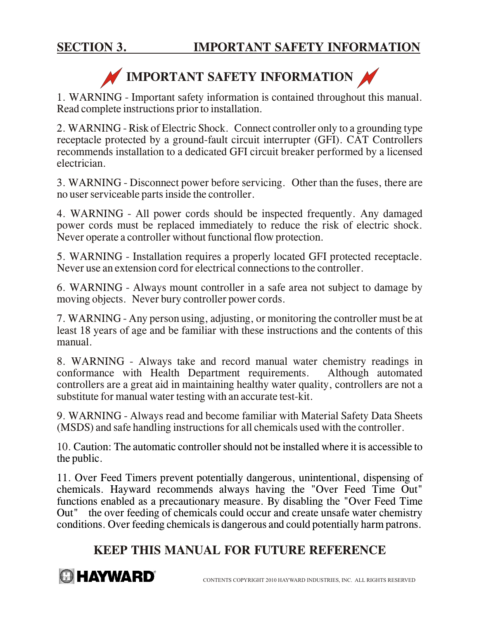# **IMPORTANT SAFETY INFORMATION**

1. WARNING - Important safety information is contained throughout this manual. Read complete instructions prior to installation.

2. WARNING - Risk of Electric Shock. Connect controller only to a grounding type receptacle protected by a ground-fault circuit interrupter (GFI). CAT Controllers recommends installation to a dedicated GFI circuit breaker performed by a licensed electrician.

3. WARNING - Disconnect power before servicing. Other than the fuses, there are no user serviceable parts inside the controller.

4. WARNING - All power cords should be inspected frequently. Any damaged power cords must be replaced immediately to reduce the risk of electric shock. Never operate a controller without functional flow protection.

5. WARNING - Installation requires a properly located GFI protected receptacle. Never use an extension cord for electrical connections to the controller.

6. WARNING - Always mount controller in a safe area not subject to damage by moving objects. Never bury controller power cords.

7. WARNING - Any person using, adjusting, or monitoring the controller must be at least 18 years of age and be familiar with these instructions and the contents of this manual.

8. WARNING - Always take and record manual water chemistry readings in conformance with Health Department requirements. Although automated controllers are a great aid in maintaining healthy water quality, controllers are not a substitute for manual water testing with an accurate test-kit.

9. WARNING - Always read and become familiar with Material Safety Data Sheets (MSDS) and safe handling instructions for all chemicals used with the controller.

10. Caution: The automatic controller should not be installed where it is accessible to the public.

11. Over Feed Timers prevent potentially dangerous, unintentional, dispensing of chemicals. Hayward recommends always having the "Over Feed Time Out" functions enabled as a precautionary measure. By disabling the "Over Feed Time Out" the over feeding of chemicals could occur and create unsafe water chemistry conditions. Over feeding chemicals is dangerous and could potentially harm patrons.

## **KEEP THIS MANUAL FOR FUTURE REFERENCE**

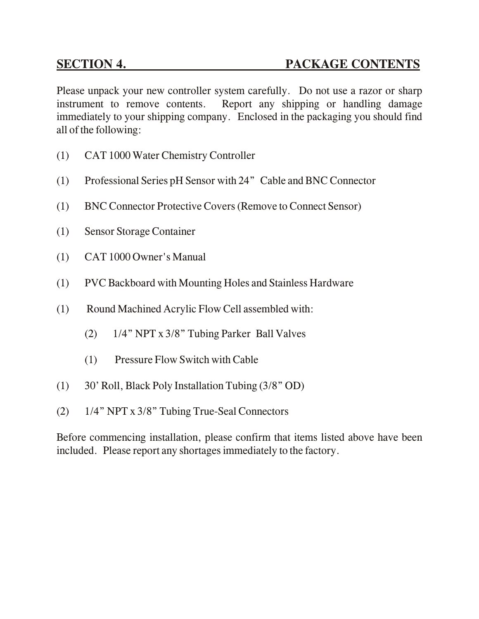Please unpack your new controller system carefully. Do not use a razor or sharp instrument to remove contents. Report any shipping or handling damage immediately to your shipping company. Enclosed in the packaging you should find all of the following:

- (1) CAT 1000 Water Chemistry Controller
- (1) Professional Series pH Sensor with 24" Cable and BNC Connector
- (1) BNC Connector Protective Covers (Remove to Connect Sensor)
- (1) Sensor Storage Container
- (1) CAT 1000 Owner's Manual
- (1) PVC Backboard with Mounting Holes and Stainless Hardware
- (1) Round Machined Acrylic Flow Cell assembled with:
	- (2) 1/4" NPT x 3/8" Tubing Parker Ball Valves
	- (1) Pressure Flow Switch with Cable
- (1) 30' Roll, Black Poly Installation Tubing (3/8" OD)
- (2) 1/4" NPT x 3/8" Tubing True-Seal Connectors

Before commencing installation, please confirm that items listed above have been included. Please report any shortages immediately to the factory.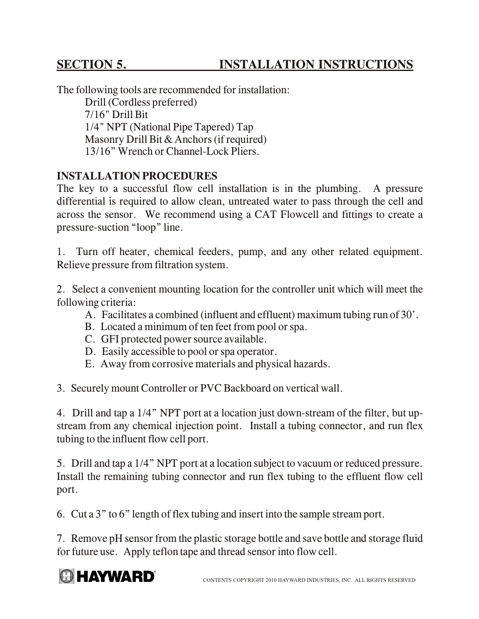# **SECTION 5. INSTALLATION INSTRUCTIONS**

The following tools are recommended for installation: Drill (Cordless preferred) 7/16" Drill Bit 1/4" NPT (National Pipe Tapered) Tap Masonry Drill Bit & Anchors (if required)

13/16" Wrench or Channel-Lock Pliers.

#### **INSTALLATION PROCEDURES**

The key to a successful flow cell installation is in the plumbing. A pressure differential is required to allow clean, untreated water to pass through the cell and across the sensor. We recommend using a CAT Flowcell and fittings to create a pressure-suction "loop" line.

1. Turn off heater, chemical feeders, pump, and any other related equipment. Relieve pressure from filtration system.

2. Select a convenient mounting location for the controller unit which will meet the following criteria:

- A. Facilitates a combined (influent and effluent) maximum tubing run of 30'.
- B. Located a minimum of ten feet from pool or spa.
- C. GFI protected power source available.
- D. Easily accessible to pool or spa operator.
- E. Away from corrosive materials and physical hazards.

3. Securely mount Controller or PVC Backboard on vertical wall.

4. Drill and tap a 1/4" NPT port at a location just down-stream of the filter, but upstream from any chemical injection point. Install a tubing connector, and run flex tubing to the influent flow cell port.

5. Drill and tap a 1/4" NPT port at a location subject to vacuum or reduced pressure. Install the remaining tubing connector and run flex tubing to the effluent flow cell port.

6. Cut a 3" to 6" length of flex tubing and insert into the sample stream port.

7. Remove pH sensor from the plastic storage bottle and save bottle and storage fluid for future use. Apply teflon tape and thread sensor into flow cell.

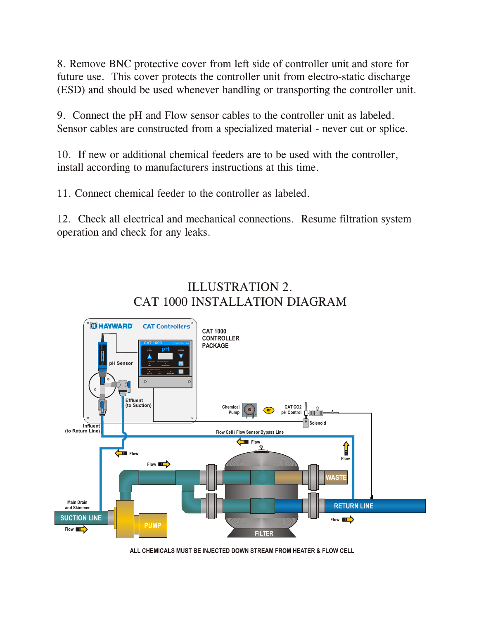8. Remove BNC protective cover from left side of controller unit and store for future use. This cover protects the controller unit from electro-static discharge (ESD) and should be used whenever handling or transporting the controller unit.

9. Connect the pH and Flow sensor cables to the controller unit as labeled. Sensor cables are constructed from a specialized material - never cut or splice.

10. If new or additional chemical feeders are to be used with the controller, install according to manufacturers instructions at this time.

11. Connect chemical feeder to the controller as labeled.

12. Check all electrical and mechanical connections. Resume filtration system operation and check for any leaks.

# ILLUSTRATION 2. CAT 1000 INSTALLATION DIAGRAM



**ALL CHEMICALS MUST BE INJECTED DOWN STREAM FROM HEATER & FLOW CELL**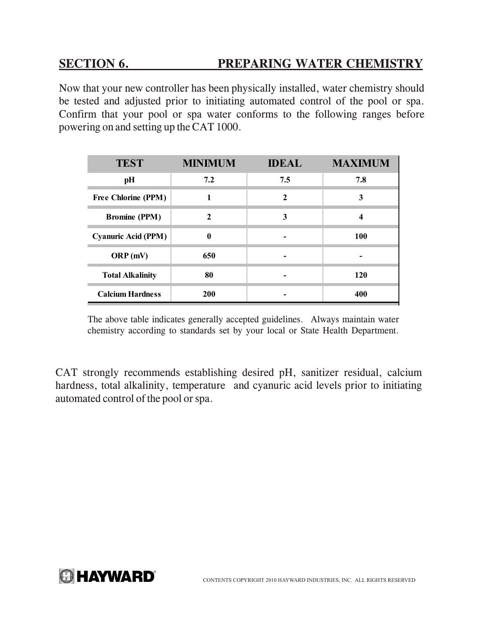### **SECTION 6. PREPARING WATER CHEMISTRY**

Now that your new controller has been physically installed, water chemistry should be tested and adjusted prior to initiating automated control of the pool or spa. Confirm that your pool or spa water conforms to the following ranges before powering on and setting up the CAT 1000.

| <b>TEST</b>                | <b>MINIMUM</b> | <b>IDEAL</b> | <b>MAXIMUM</b> |
|----------------------------|----------------|--------------|----------------|
| pH                         | 7.2            | 7.5          | 7.8            |
| <b>Free Chlorine (PPM)</b> |                | 2            | 3              |
| <b>Bromine (PPM)</b>       | 2              | 3            | 4              |
| <b>Cyanuric Acid (PPM)</b> | $\mathbf{0}$   |              | 100            |
| ORP(mV)                    | 650            |              |                |
| <b>Total Alkalinity</b>    | 80             |              | 120            |
| <b>Calcium Hardness</b>    | <b>200</b>     |              | 400            |

The above table indicates generally accepted guidelines. Always maintain water chemistry according to standards set by your local or State Health Department.

CAT strongly recommends establishing desired pH, sanitizer residual, calcium hardness, total alkalinity, temperature and cyanuric acid levels prior to initiating automated control of the pool or spa.

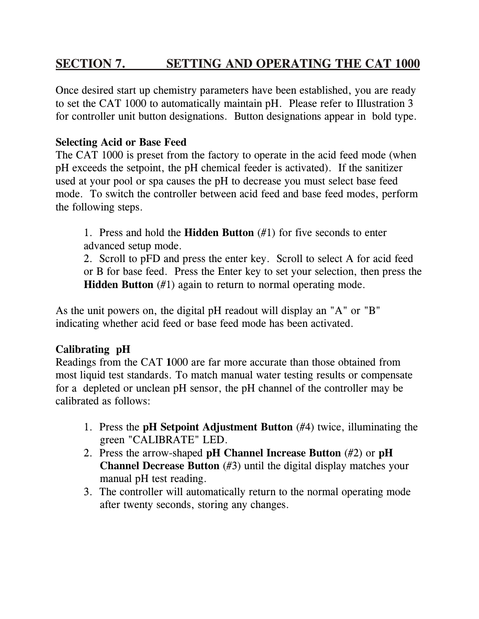# **SECTION 7. SETTING AND OPERATING THE CAT 1000**

Once desired start up chemistry parameters have been established, you are ready to set the CAT 1000 to automatically maintain pH. Please refer to Illustration 3 for controller unit button designations. Button designations appear in bold type.

#### **Selecting Acid or Base Feed**

The CAT 1000 is preset from the factory to operate in the acid feed mode (when pH exceeds the setpoint, the pH chemical feeder is activated). If the sanitizer used at your pool or spa causes the pH to decrease you must select base feed mode. To switch the controller between acid feed and base feed modes, perform the following steps.

1. Press and hold the **Hidden Button** (#1) for five seconds to enter advanced setup mode.

2. Scroll to pFD and press the enter key. Scroll to select A for acid feed or B for base feed. Press the Enter key to set your selection, then press the **Hidden Button** (#1) again to return to normal operating mode.

As the unit powers on, the digital pH readout will display an "A" or "B" indicating whether acid feed or base feed mode has been activated.

#### **Calibrating pH**

Readings from the CAT **1**000 are far more accurate than those obtained from most liquid test standards. To match manual water testing results or compensate for a depleted or unclean pH sensor, the pH channel of the controller may be calibrated as follows:

- 1. Press the **pH Setpoint Adjustment Button** (#4) twice, illuminating the green "CALIBRATE" LED.
- 2. Press the arrow-shaped **pH Channel Increase Button** (#2) or **pH Channel Decrease Button** (#3) until the digital display matches your manual pH test reading.
- 3. The controller will automatically return to the normal operating mode after twenty seconds, storing any changes.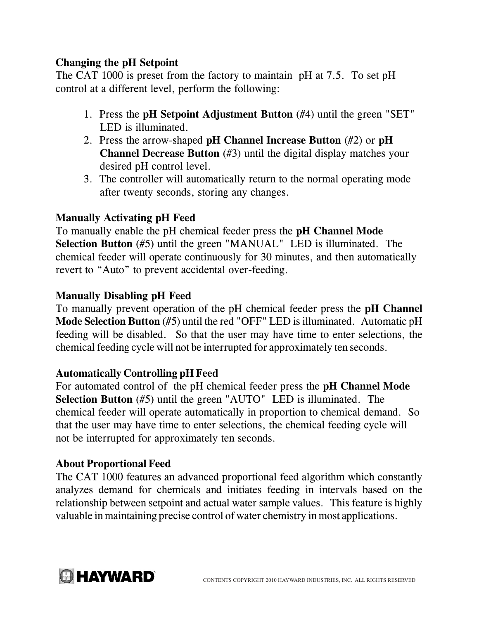#### **Changing the pH Setpoint**

The CAT 1000 is preset from the factory to maintain pH at 7.5. To set pH control at a different level, perform the following:

- 1. Press the **pH Setpoint Adjustment Button** (#4) until the green "SET" LED is illuminated.
- 2. Press the arrow-shaped **pH Channel Increase Button** (#2) or **pH Channel Decrease Button** (#3) until the digital display matches your desired pH control level.
- 3. The controller will automatically return to the normal operating mode after twenty seconds, storing any changes.

#### **Manually Activating pH Feed**

To manually enable the pH chemical feeder press the **pH Channel Mode Selection Button** (#5) until the green "MANUAL" LED is illuminated. The chemical feeder will operate continuously for 30 minutes, and then automatically revert to "Auto" to prevent accidental over-feeding.

#### **Manually Disabling pH Feed**

To manually prevent operation of the pH chemical feeder press the **pH Channel Mode Selection Button** (#5) until the red "OFF" LED is illuminated. Automatic pH feeding will be disabled. So that the user may have time to enter selections, the chemical feeding cycle will not be interrupted for approximately ten seconds.

#### **Automatically Controlling pH Feed**

For automated control of the pH chemical feeder press the **pH Channel Mode Selection Button** (#5) until the green "AUTO" LED is illuminated. The chemical feeder will operate automatically in proportion to chemical demand. So that the user may have time to enter selections, the chemical feeding cycle will not be interrupted for approximately ten seconds.

#### **About Proportional Feed**

The CAT 1000 features an advanced proportional feed algorithm which constantly analyzes demand for chemicals and initiates feeding in intervals based on the relationship between setpoint and actual water sample values. This feature is highly valuable in maintaining precise control of water chemistry in most applications.

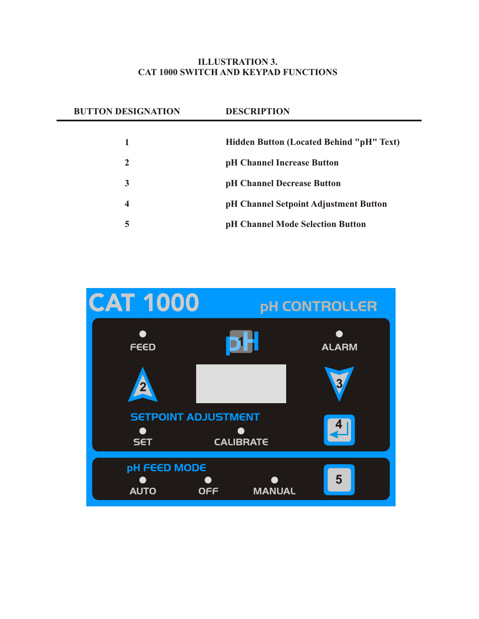#### **ILLUSTRATION 3. CAT 1000 SWITCH AND KEYPAD FUNCTIONS**

| <b>BUTTON DESIGNATION</b> | <b>DESCRIPTION</b>                              |  |
|---------------------------|-------------------------------------------------|--|
|                           |                                                 |  |
|                           | <b>Hidden Button (Located Behind "pH" Text)</b> |  |
| $\mathbf{2}$              | pH Channel Increase Button                      |  |
| 3                         | pH Channel Decrease Button                      |  |
| 4                         | pH Channel Setpoint Adjustment Button           |  |
| 5                         | pH Channel Mode Selection Button                |  |
|                           |                                                 |  |

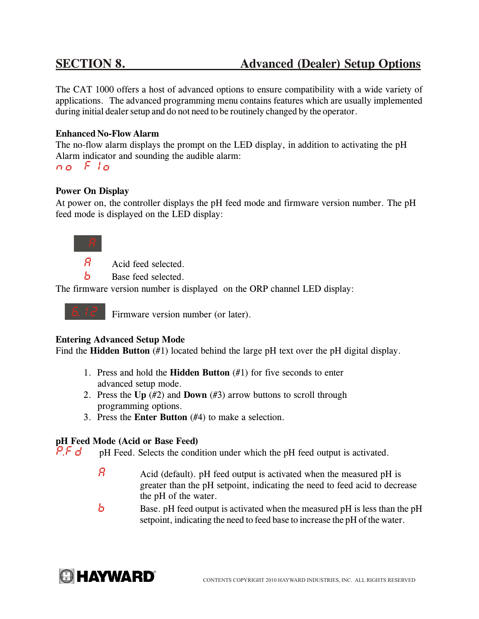The CAT 1000 offers a host of advanced options to ensure compatibility with a wide variety of applications. The advanced programming menu contains features which are usually implemented during initial dealer setup and do not need to be routinely changed by the operator.

#### **Enhanced No-Flow Alarm**

The no-flow alarm displays the prompt on the LED display, in addition to activating the pH Alarm indicator and sounding the audible alarm:

*no Flo*

#### **Power On Display**

At power on, the controller displays the pH feed mode and firmware version number. The pH feed mode is displayed on the LED display:

*A*

Acid feed selected. *A*

Base feed selected. *b*

The firmware version number is displayed on the ORP channel LED display:

*6.12*

Firmware version number (or later).

#### **Entering Advanced Setup Mode**

Find the **Hidden Button** (#1) located behind the large pH text over the pH digital display.

- 1. Press and hold the **Hidden Button** (#1) for five seconds to enter advanced setup mode.
- 2. Press the **Up** (#2) and **Down** (#3) arrow buttons to scroll through programming options.
- 3. Press the **Enter Button** (#4) to make a selection.

#### **pH Feed Mode (Acid or Base Feed)**

 pH Feed. Selects the condition under which the pH feed output is activated. *P.Fd*

- Acid (default). pH feed output is activated when the measured pH is greater than the pH setpoint, indicating the need to feed acid to decrease the pH of the water. *A*
- Base. pH feed output is activated when the measured pH is less than the pH setpoint, indicating the need to feed base to increase the pH of the water. *b*

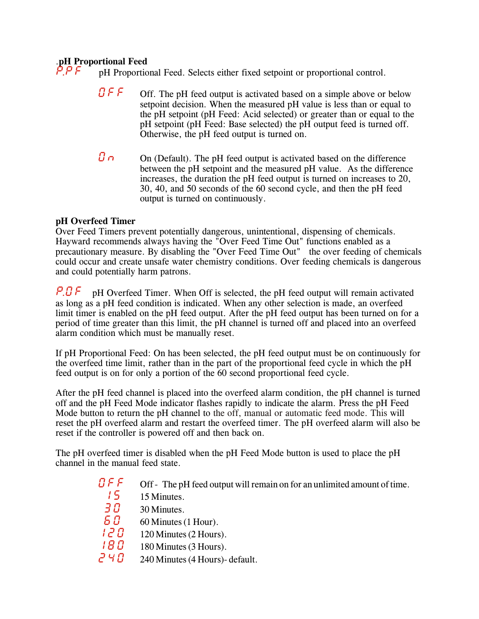# .**pH Proportional Feed** *P.PF*

pH Proportional Feed. Selects either fixed setpoint or proportional control.

- Off. The pH feed output is activated based on a simple above or below setpoint decision. When the measured pH value is less than or equal to the pH setpoint (pH Feed: Acid selected) or greater than or equal to the pH setpoint (pH Feed: Base selected) the pH output feed is turned off. Otherwise, the pH feed output is turned on. *OFF*
- On (Default). The pH feed output is activated based on the difference between the pH setpoint and the measured pH value. As the difference increases, the duration the pH feed output is turned on increases to 20, 30, 40, and 50 seconds of the 60 second cycle, and then the pH feed output is turned on continuously. *On*

#### **pH Overfeed Timer**

Over Feed Timers prevent potentially dangerous, unintentional, dispensing of chemicals. Hayward recommends always having the "Over Feed Time Out" functions enabled as a precautionary measure. By disabling the "Over Feed Time Out" the over feeding of chemicals could occur and create unsafe water chemistry conditions. Over feeding chemicals is dangerous and could potentially harm patrons.

pH Overfeed Timer. When Off is selected, the pH feed output will remain activated as long as a pH feed condition is indicated. When any other selection is made, an overfeed limit timer is enabled on the pH feed output. After the pH feed output has been turned on for a period of time greater than this limit, the pH channel is turned off and placed into an overfeed alarm condition which must be manually reset. *P.OF*

If pH Proportional Feed: On has been selected, the pH feed output must be on continuously for the overfeed time limit, rather than in the part of the proportional feed cycle in which the pH feed output is on for only a portion of the 60 second proportional feed cycle.

After the pH feed channel is placed into the overfeed alarm condition, the pH channel is turned off and the pH Feed Mode indicator flashes rapidly to indicate the alarm. Press the pH Feed Mode button to return the pH channel to the off, manual or automatic feed mode. This will reset the pH overfeed alarm and restart the overfeed timer. The pH overfeed alarm will also be reset if the controller is powered off and then back on.

The pH overfeed timer is disabled when the pH Feed Mode button is used to place the pH channel in the manual feed state.

- Off The pH feed output will remain on for an unlimited amount of time. *OFF*
	- 15 Minutes. *15*
	- 30 Minutes. *30*
- 60 Minutes (1 Hour). *60*
- 120 Minutes (2 Hours). *120*
- 180 Minutes (3 Hours). *180*
- 240 Minutes (4 Hours)- default. *240*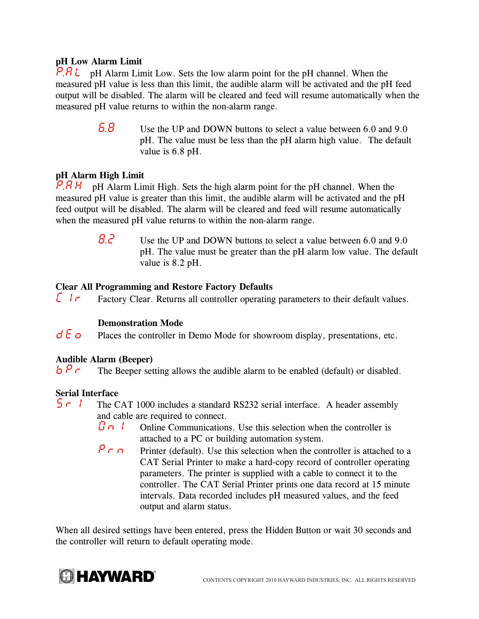#### **pH Low Alarm Limit**

pH Alarm Limit Low. Sets the low alarm point for the pH channel. When the *P.AL* measured pH value is less than this limit, the audible alarm will be activated and the pH feed output will be disabled. The alarm will be cleared and feed will resume automatically when the measured pH value returns to within the non-alarm range.

> Use the UP and DOWN buttons to select a value between 6.0 and 9.0 pH. The value must be less than the pH alarm high value. The default value is 6.8 pH. *6.8*

#### **pH Alarm High Limit**

pH Alarm Limit High. Sets the high alarm point for the pH channel. When the measured pH value is greater than this limit, the audible alarm will be activated and the pH feed output will be disabled. The alarm will be cleared and feed will resume automatically when the measured pH value returns to within the non-alarm range. *P.AH*

> Use the UP and DOWN buttons to select a value between 6.0 and 9.0 pH. The value must be greater than the pH alarm low value. The default value is 8.2 pH. *8.2*

#### **Clear All Programming and Restore Factory Defaults**

 Factory Clear. Returns all controller operating parameters to their default values. *Clr*

#### **Demonstration Mode**

 Places the controller in Demo Mode for showroom display, presentations, etc. *dEo*

#### **Audible Alarm (Beeper)**

The Beeper setting allows the audible alarm to be enabled (default) or disabled. *bPr*

#### **Serial Interface**

- The CAT 1000 includes a standard RS232 serial interface. A header assembly and cable are required to connect. *Srl*
	- Online Communications. Use this selection when the controller is attached to a PC or building automation system. *Onl*
	- Printer (default). Use this selection when the controller is attached to a CAT Serial Printer to make a hard-copy record of controller operating parameters. The printer is supplied with a cable to connect it to the controller. The CAT Serial Printer prints one data record at 15 minute intervals. Data recorded includes pH measured values, and the feed output and alarm status. *Prn*

When all desired settings have been entered, press the Hidden Button or wait 30 seconds and the controller will return to default operating mode.

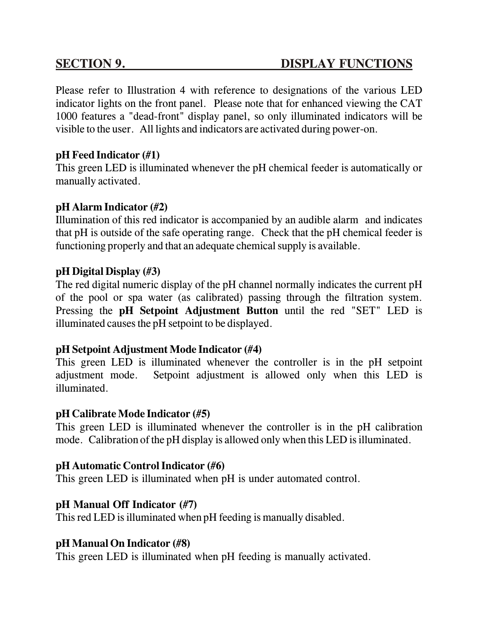Please refer to Illustration 4 with reference to designations of the various LED indicator lights on the front panel. Please note that for enhanced viewing the CAT 1000 features a "dead-front" display panel, so only illuminated indicators will be visible to the user. All lights and indicators are activated during power-on.

### **pH Feed Indicator (#1)**

This green LED is illuminated whenever the pH chemical feeder is automatically or manually activated.

#### **pH Alarm Indicator (#2)**

Illumination of this red indicator is accompanied by an audible alarm and indicates that pH is outside of the safe operating range. Check that the pH chemical feeder is functioning properly and that an adequate chemical supply is available.

#### **pH Digital Display (#3)**

The red digital numeric display of the pH channel normally indicates the current pH of the pool or spa water (as calibrated) passing through the filtration system. Pressing the **pH Setpoint Adjustment Button** until the red "SET" LED is illuminated causes the pH setpoint to be displayed.

#### **pH Setpoint Adjustment Mode Indicator (#4)**

This green LED is illuminated whenever the controller is in the pH setpoint adjustment mode. Setpoint adjustment is allowed only when this LED is illuminated.

#### **pH Calibrate Mode Indicator (#5)**

This green LED is illuminated whenever the controller is in the pH calibration mode. Calibration of the pH display is allowed only when this LED is illuminated.

#### **pH Automatic Control Indicator (#6)**

This green LED is illuminated when pH is under automated control.

### **pH Manual Off Indicator (#7)**

This red LED is illuminated when pH feeding is manually disabled.

#### **pH Manual On Indicator (#8)**

This green LED is illuminated when pH feeding is manually activated.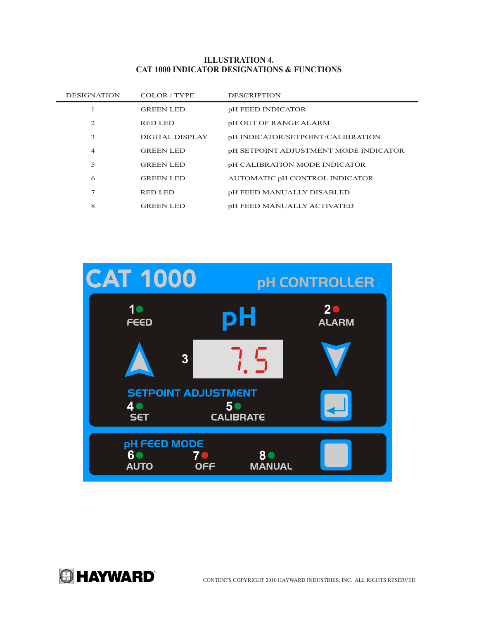#### **ILLUSTRATION 4. CAT 1000 INDICATOR DESIGNATIONS & FUNCTIONS**

| <b>DESIGNATION</b> | COLOR / TYPE     | <b>DESCRIPTION</b>                    |
|--------------------|------------------|---------------------------------------|
|                    | <b>GREEN LED</b> | pH FEED INDICATOR                     |
| $\overline{c}$     | RED LED          | pH OUT OF RANGE ALARM                 |
| 3                  | DIGITAL DISPLAY  | pH INDICATOR/SETPOINT/CALIBRATION     |
| $\overline{4}$     | <b>GREEN LED</b> | pH SETPOINT ADJUSTMENT MODE INDICATOR |
| 5                  | <b>GREEN LED</b> | pH CALIBRATION MODE INDICATOR         |
| 6                  | <b>GREEN LED</b> | AUTOMATIC pH CONTROL INDICATOR        |
| 7                  | <b>RED LED</b>   | pH FEED MANUALLY DISABLED             |
| 8                  | <b>GREEN LED</b> | <b>pH FEED MANUALLY ACTIVATED</b>     |



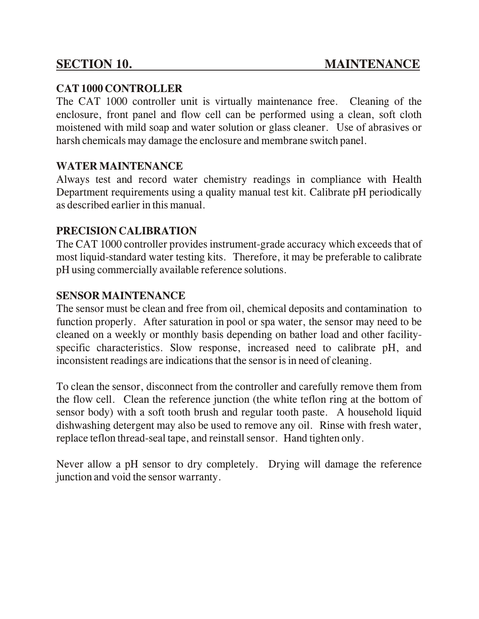### **CAT 1000 CONTROLLER**

The CAT 1000 controller unit is virtually maintenance free. Cleaning of the enclosure, front panel and flow cell can be performed using a clean, soft cloth moistened with mild soap and water solution or glass cleaner. Use of abrasives or harsh chemicals may damage the enclosure and membrane switch panel.

### **WATER MAINTENANCE**

Always test and record water chemistry readings in compliance with Health Department requirements using a quality manual test kit. Calibrate pH periodically as described earlier in this manual.

### **PRECISION CALIBRATION**

The CAT 1000 controller provides instrument-grade accuracy which exceeds that of most liquid-standard water testing kits. Therefore, it may be preferable to calibrate pH using commercially available reference solutions.

#### **SENSOR MAINTENANCE**

The sensor must be clean and free from oil, chemical deposits and contamination to function properly. After saturation in pool or spa water, the sensor may need to be cleaned on a weekly or monthly basis depending on bather load and other facilityspecific characteristics. Slow response, increased need to calibrate pH, and inconsistent readings are indications that the sensor is in need of cleaning.

To clean the sensor, disconnect from the controller and carefully remove them from the flow cell. Clean the reference junction (the white teflon ring at the bottom of sensor body) with a soft tooth brush and regular tooth paste. A household liquid dishwashing detergent may also be used to remove any oil. Rinse with fresh water, replace teflon thread-seal tape, and reinstall sensor. Hand tighten only.

Never allow a pH sensor to dry completely. Drying will damage the reference junction and void the sensor warranty.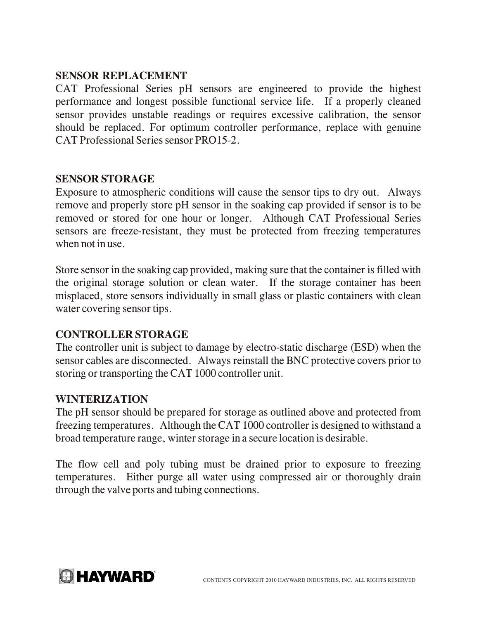#### **SENSOR REPLACEMENT**

CAT Professional Series pH sensors are engineered to provide the highest performance and longest possible functional service life. If a properly cleaned sensor provides unstable readings or requires excessive calibration, the sensor should be replaced. For optimum controller performance, replace with genuine CAT Professional Series sensor PRO15-2.

#### **SENSOR STORAGE**

Exposure to atmospheric conditions will cause the sensor tips to dry out. Always remove and properly store pH sensor in the soaking cap provided if sensor is to be removed or stored for one hour or longer. Although CAT Professional Series sensors are freeze-resistant, they must be protected from freezing temperatures when not in use.

Store sensor in the soaking cap provided, making sure that the container is filled with the original storage solution or clean water. If the storage container has been misplaced, store sensors individually in small glass or plastic containers with clean water covering sensor tips.

#### **CONTROLLER STORAGE**

The controller unit is subject to damage by electro-static discharge (ESD) when the sensor cables are disconnected. Always reinstall the BNC protective covers prior to storing or transporting the CAT 1000 controller unit.

#### **WINTERIZATION**

The pH sensor should be prepared for storage as outlined above and protected from freezing temperatures. Although the CAT 1000 controller is designed to withstand a broad temperature range, winter storage in a secure location is desirable.

The flow cell and poly tubing must be drained prior to exposure to freezing temperatures. Either purge all water using compressed air or thoroughly drain through the valve ports and tubing connections.

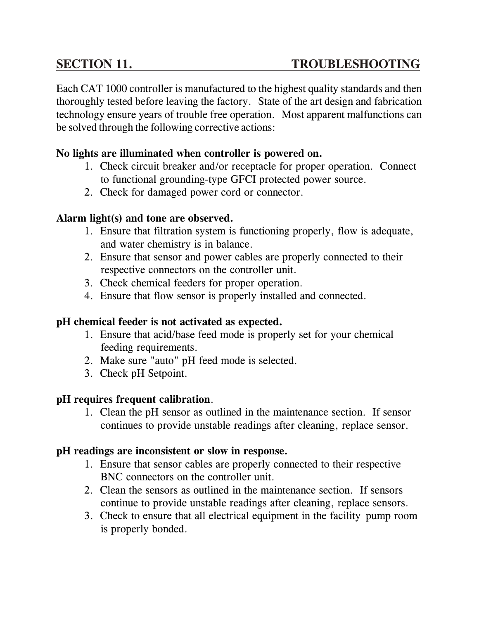Each CAT 1000 controller is manufactured to the highest quality standards and then thoroughly tested before leaving the factory. State of the art design and fabrication technology ensure years of trouble free operation. Most apparent malfunctions can be solved through the following corrective actions:

#### **No lights are illuminated when controller is powered on.**

- 1. Check circuit breaker and/or receptacle for proper operation. Connect to functional grounding-type GFCI protected power source.
- 2. Check for damaged power cord or connector.

#### **Alarm light(s) and tone are observed.**

- 1. Ensure that filtration system is functioning properly, flow is adequate, and water chemistry is in balance.
- 2. Ensure that sensor and power cables are properly connected to their respective connectors on the controller unit.
- 3. Check chemical feeders for proper operation.
- 4. Ensure that flow sensor is properly installed and connected.

#### **pH chemical feeder is not activated as expected.**

- 1. Ensure that acid/base feed mode is properly set for your chemical feeding requirements.
- 2. Make sure "auto" pH feed mode is selected.
- 3. Check pH Setpoint.

#### **pH requires frequent calibration**.

1. Clean the pH sensor as outlined in the maintenance section. If sensor continues to provide unstable readings after cleaning, replace sensor.

#### **pH readings are inconsistent or slow in response.**

- 1. Ensure that sensor cables are properly connected to their respective BNC connectors on the controller unit.
- 2. Clean the sensors as outlined in the maintenance section. If sensors continue to provide unstable readings after cleaning, replace sensors.
- 3. Check to ensure that all electrical equipment in the facility pump room is properly bonded.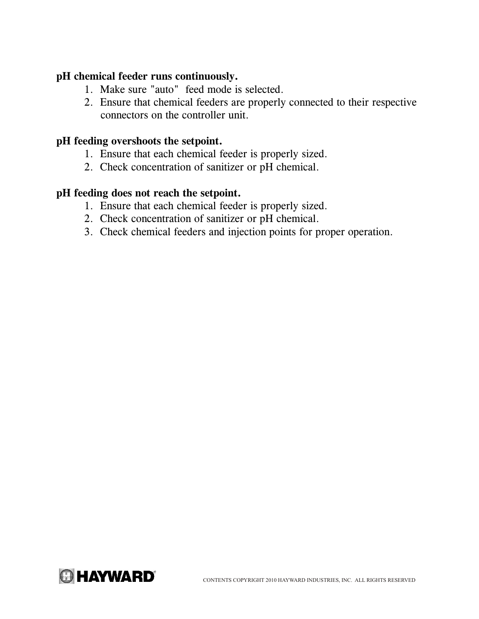#### **pH chemical feeder runs continuously.**

- 1. Make sure "auto" feed mode is selected.
- 2. Ensure that chemical feeders are properly connected to their respective connectors on the controller unit.

#### **pH feeding overshoots the setpoint.**

- 1. Ensure that each chemical feeder is properly sized.
- 2. Check concentration of sanitizer or pH chemical.

#### **pH feeding does not reach the setpoint.**

- 1. Ensure that each chemical feeder is properly sized.
- 2. Check concentration of sanitizer or pH chemical.
- 3. Check chemical feeders and injection points for proper operation.

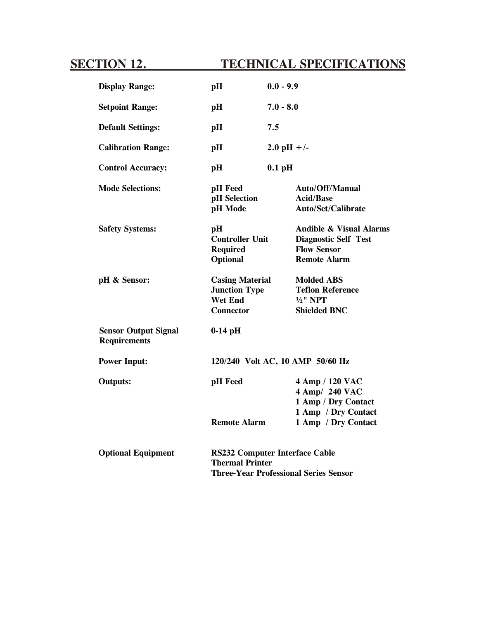# **SECTION 12. TECHNICAL SPECIFICATIONS**

| <b>Display Range:</b>                              | pH                                                                                                              | $0.0 - 9.9$                                                                                                    |
|----------------------------------------------------|-----------------------------------------------------------------------------------------------------------------|----------------------------------------------------------------------------------------------------------------|
| <b>Setpoint Range:</b>                             | pH                                                                                                              | $7.0 - 8.0$                                                                                                    |
| <b>Default Settings:</b>                           | pH                                                                                                              | 7.5                                                                                                            |
| <b>Calibration Range:</b>                          | pH                                                                                                              | 2.0 pH +/-                                                                                                     |
| <b>Control Accuracy:</b>                           | pH                                                                                                              | $0.1$ pH                                                                                                       |
| <b>Mode Selections:</b>                            | pH Feed<br>pH Selection<br>pH Mode                                                                              | Auto/Off/Manual<br><b>Acid/Base</b><br>Auto/Set/Calibrate                                                      |
| <b>Safety Systems:</b>                             | pH<br><b>Controller Unit</b><br><b>Required</b><br>Optional                                                     | <b>Audible &amp; Visual Alarms</b><br><b>Diagnostic Self Test</b><br><b>Flow Sensor</b><br><b>Remote Alarm</b> |
| pH & Sensor:                                       | <b>Casing Material</b><br><b>Junction Type</b><br><b>Wet End</b><br><b>Connector</b>                            | <b>Molded ABS</b><br><b>Teflon Reference</b><br>$1/2$ " NPT<br><b>Shielded BNC</b>                             |
| <b>Sensor Output Signal</b><br><b>Requirements</b> | $0-14$ pH                                                                                                       |                                                                                                                |
| <b>Power Input:</b>                                | 120/240 Volt AC, 10 AMP 50/60 Hz                                                                                |                                                                                                                |
| <b>Outputs:</b>                                    | pH Feed                                                                                                         | 4 Amp / 120 VAC<br>4 Amp/ 240 VAC<br>1 Amp / Dry Contact<br>1 Amp / Dry Contact                                |
|                                                    | <b>Remote Alarm</b>                                                                                             | 1 Amp / Dry Contact                                                                                            |
| <b>Optional Equipment</b>                          | <b>RS232 Computer Interface Cable</b><br><b>Thermal Printer</b><br><b>Three-Year Professional Series Sensor</b> |                                                                                                                |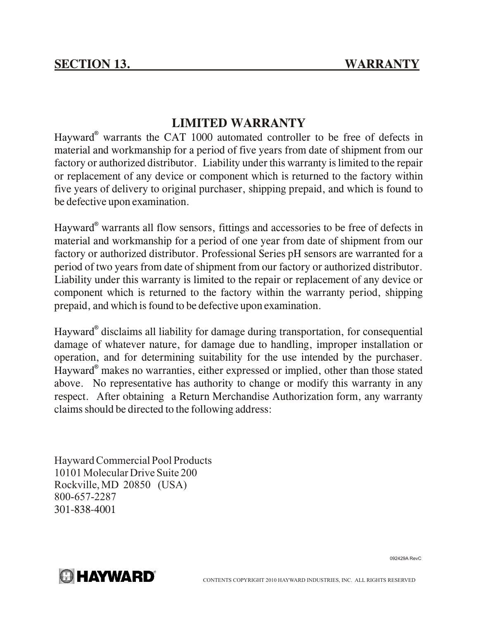### **LIMITED WARRANTY**

Hayward<sup>®</sup> warrants the CAT 1000 automated controller to be free of defects in material and workmanship for a period of five years from date of shipment from our factory or authorized distributor. Liability under this warranty is limited to the repair or replacement of any device or component which is returned to the factory within five years of delivery to original purchaser, shipping prepaid, and which is found to be defective upon examination.

Hayward® warrants all flow sensors, fittings and accessories to be free of defects in material and workmanship for a period of one year from date of shipment from our factory or authorized distributor. Professional Series pH sensors are warranted for a period of two years from date of shipment from our factory or authorized distributor. Liability under this warranty is limited to the repair or replacement of any device or component which is returned to the factory within the warranty period, shipping prepaid, and which is found to be defective upon examination.

Hayward® disclaims all liability for damage during transportation, for consequential damage of whatever nature, for damage due to handling, improper installation or operation, and for determining suitability for the use intended by the purchaser. Hayward® makes no warranties, either expressed or implied, other than those stated above. No representative has authority to change or modify this warranty in any respect. After obtaining a Return Merchandise Authorization form, any warranty claims should be directed to the following address:

Hayward Commercial Pool Products 10101 Molecular Drive Suite 200 Rockville, MD 20850 (USA) 800-657-2287 301-838-4001

092429A RevC